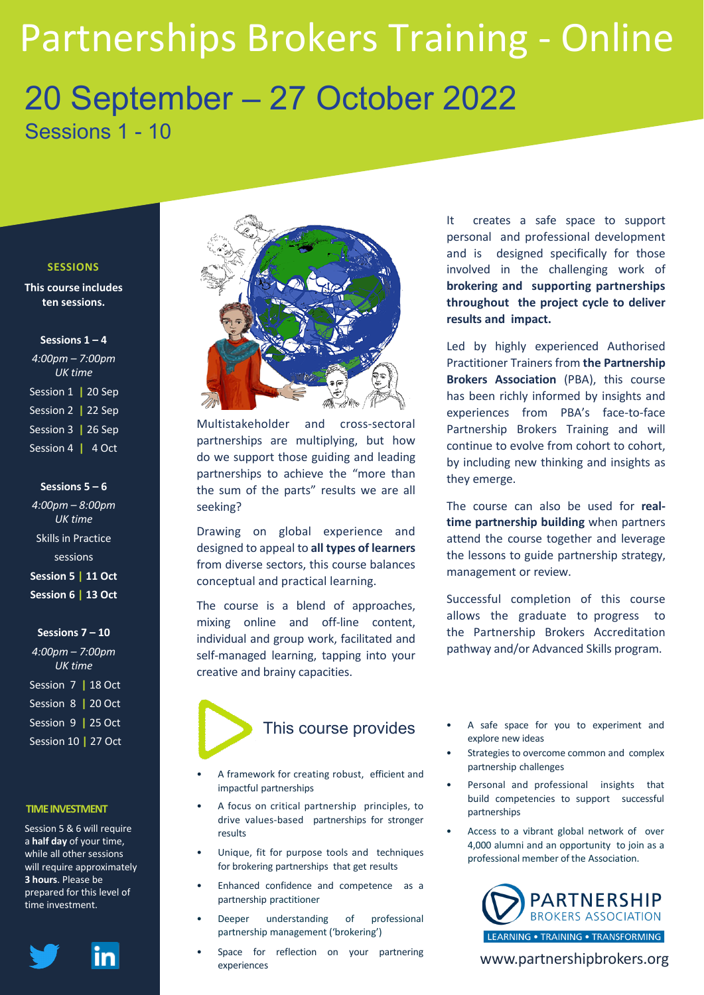# Partnerships Brokers Training - Online 20 September – 27 October 2022 Sessions 1 - 10

### **SESSIONS**

**This course includes ten sessions.**

### **Sessions 1 – 4**

*4:00pm – 7:00pm UK time* Session 1 **|** 20 Sep Session 2 **|** 22 Sep Session 3 **|** 26 Sep Session 4 **|** 4 Oct

### **Sessions 5 – 6**

*4:00pm – 8:00pm UK time* Skills in Practice sessions **Session 5 | 11 Oct Session 6 | 13 Oct**

### **Sessions 7 – 10** *4:00pm – 7:00pm UK time* Session 7 **|** 18 Oct Session 8 **|** 20 Oct Session 9 **|** 25 Oct Session 10 **|** 27 Oct

#### **TIME INVESTMENT**

Session 5 & 6 will require a **half day** of your time, while all other sessions will require approximately **3 hours**. Please be prepared for this level of time investment.





Multistakeholder and cross-sectoral partnerships are multiplying, but how do we support those guiding and leading partnerships to achieve the "more than the sum of the parts" results we are all seeking?

Drawing on global experience and designed to appeal to **all types of learners** from diverse sectors, this course balances conceptual and practical learning.

The course is a blend of approaches, mixing online and off-line content, individual and group work, facilitated and self-managed learning, tapping into your creative and brainy capacities.

It creates a safe space to support personal and professional development and is designed specifically for those involved in the challenging work of **brokering and supporting partnerships throughout the project cycle to deliver results and impact.**

Led by highly experienced Authorised Practitioner Trainers from **the Partnership Brokers Association** (PBA), this course has been richly informed by insights and experiences from PBA's face-to-face Partnership Brokers Training and will continue to evolve from cohort to cohort, by including new thinking and insights as they emerge.

The course can also be used for **realtime partnership building** when partners attend the course together and leverage the lessons to guide partnership strategy, management or review.

Successful completion of this course allows the graduate to progress to the Partnership Brokers Accreditation pathway and/or Advanced Skills program.

## This course provides

- A framework for creating robust, efficient and impactful partnerships
- A focus on critical partnership principles, to drive values-based partnerships for stronger results
- Unique, fit for purpose tools and techniques for brokering partnerships that get results
- Enhanced confidence and competence as a partnership practitioner
- Deeper understanding of professional partnership management ('brokering')
- Space for reflection on your partnering experiences
- A safe space for you to experiment and explore new ideas
- Strategies to overcome common and complex partnership challenges
- Personal and professional insights that build competencies to support successful partnerships
- Access to a vibrant global network of over 4,000 alumni and an opportunity to join as a professional member of the Association.



www.partnershipbrokers.org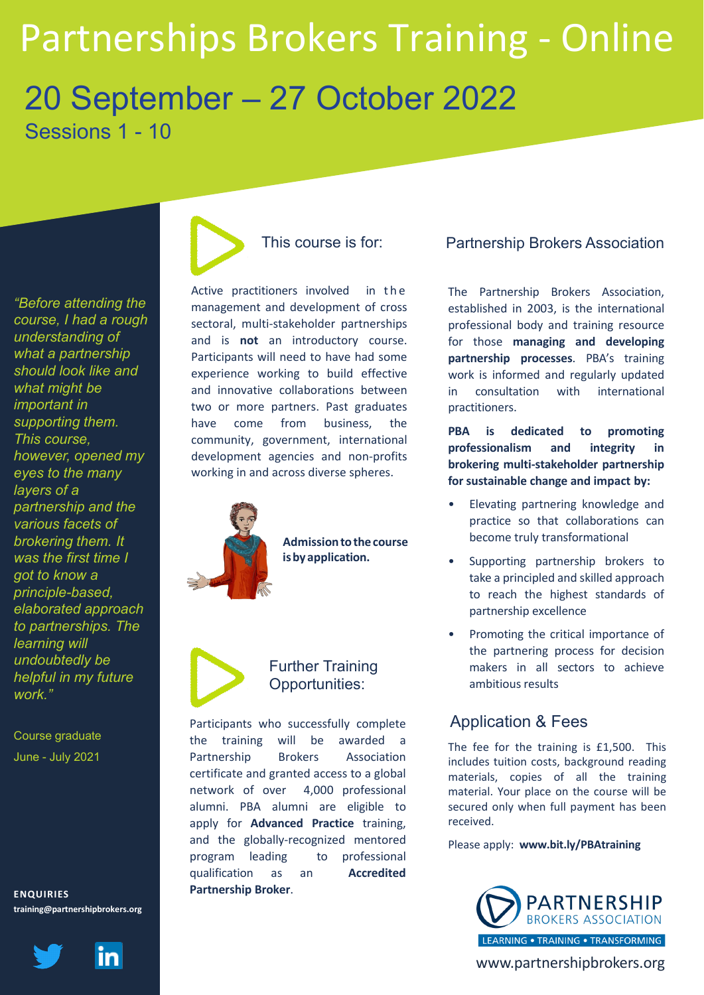# Partnerships Brokers Training - Online 20 September – 27 October 2022 Sessions 1 - 10

*"Before attending the course, I had a rough understanding of what a partnership should look like and what might be important in supporting them. This course, however, opened my eyes to the many layers of a partnership and the various facets of brokering them. It was the first time I got to know a principle-based, elaborated approach to partnerships. The learning will undoubtedly be helpful in my future work."*

Course graduate June - July 2021

**ENQUIRIES training@partnershipbrokers.org**





Active practitioners involved in the management and development of cross sectoral, multi-stakeholder partnerships and is **not** an introductory course. Participants will need to have had some experience working to build effective and innovative collaborations between two or more partners. Past graduates have come from business, the community, government, international development agencies and non-profits

working in and across diverse spheres.



**Admissiontothecourse isby application.**



Further Training Opportunities:

Participants who successfully complete the training will be awarded a Partnership Brokers Association certificate and granted access to a global network of over 4,000 professional alumni. PBA alumni are eligible to apply for **Advanced Practice** training, and the globally-recognized mentored program leading to professional qualification as an **Accredited Partnership Broker**.

## Partnership Brokers Association

The Partnership Brokers Association, established in 2003, is the international professional body and training resource for those **managing and developing partnership processes**. PBA's training work is informed and regularly updated in consultation with international practitioners.

**PBA is dedicated to promoting professionalism and integrity in brokering multi-stakeholder partnership for sustainable change and impact by:**

- Elevating partnering knowledge and practice so that collaborations can become truly transformational
- Supporting partnership brokers to take a principled and skilled approach to reach the highest standards of partnership excellence
- Promoting the critical importance of the partnering process for decision makers in all sectors to achieve ambitious results

## Application & Fees

The fee for the training is £1,500. This includes tuition costs, background reading materials, copies of all the training material. Your place on the course will be secured only when full payment has been received.

Please apply: **www.bit.ly/PBAtraining**



www.partnershipbrokers.org